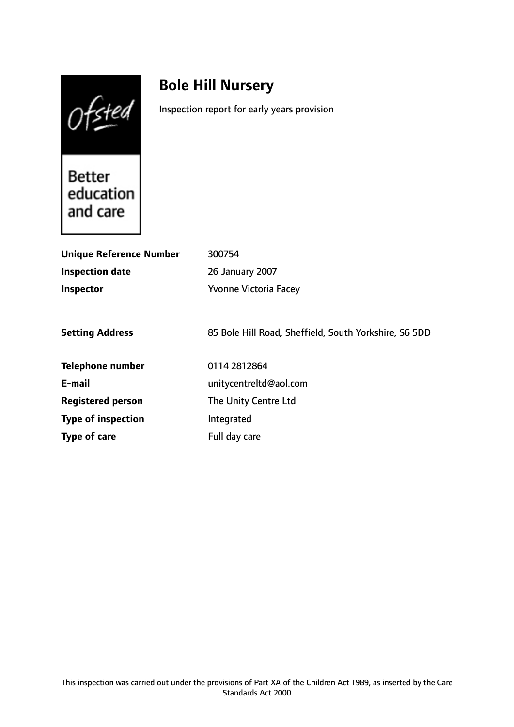Ofsted

# **Bole Hill Nursery**

Inspection report for early years provision

Better education and care

| <b>Unique Reference Number</b> | 300754                                                |
|--------------------------------|-------------------------------------------------------|
| <b>Inspection date</b>         | 26 January 2007                                       |
| <b>Inspector</b>               | <b>Yvonne Victoria Facey</b>                          |
|                                |                                                       |
| <b>Setting Address</b>         | 85 Bole Hill Road, Sheffield, South Yorkshire, S6 5DD |
| <b>Telephone number</b>        | 0114 281 2864                                         |
| E-mail                         | unitycentreltd@aol.com                                |
| <b>Registered person</b>       | The Unity Centre Ltd                                  |
| <b>Type of inspection</b>      | Integrated                                            |
| Type of care                   | Full day care                                         |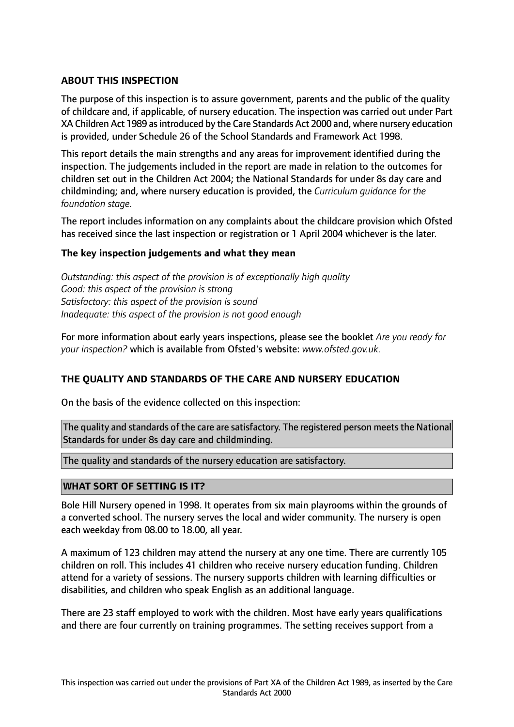# **ABOUT THIS INSPECTION**

The purpose of this inspection is to assure government, parents and the public of the quality of childcare and, if applicable, of nursery education. The inspection was carried out under Part XA Children Act 1989 asintroduced by the Care Standards Act 2000 and, where nursery education is provided, under Schedule 26 of the School Standards and Framework Act 1998.

This report details the main strengths and any areas for improvement identified during the inspection. The judgements included in the report are made in relation to the outcomes for children set out in the Children Act 2004; the National Standards for under 8s day care and childminding; and, where nursery education is provided, the *Curriculum guidance for the foundation stage.*

The report includes information on any complaints about the childcare provision which Ofsted has received since the last inspection or registration or 1 April 2004 whichever is the later.

## **The key inspection judgements and what they mean**

*Outstanding: this aspect of the provision is of exceptionally high quality Good: this aspect of the provision is strong Satisfactory: this aspect of the provision is sound Inadequate: this aspect of the provision is not good enough*

For more information about early years inspections, please see the booklet *Are you ready for your inspection?* which is available from Ofsted's website: *www.ofsted.gov.uk.*

## **THE QUALITY AND STANDARDS OF THE CARE AND NURSERY EDUCATION**

On the basis of the evidence collected on this inspection:

The quality and standards of the care are satisfactory. The registered person meets the National Standards for under 8s day care and childminding.

The quality and standards of the nursery education are satisfactory.

## **WHAT SORT OF SETTING IS IT?**

Bole Hill Nursery opened in 1998. It operates from six main playrooms within the grounds of a converted school. The nursery serves the local and wider community. The nursery is open each weekday from 08.00 to 18.00, all year.

A maximum of 123 children may attend the nursery at any one time. There are currently 105 children on roll. This includes 41 children who receive nursery education funding. Children attend for a variety of sessions. The nursery supports children with learning difficulties or disabilities, and children who speak English as an additional language.

There are 23 staff employed to work with the children. Most have early years qualifications and there are four currently on training programmes. The setting receives support from a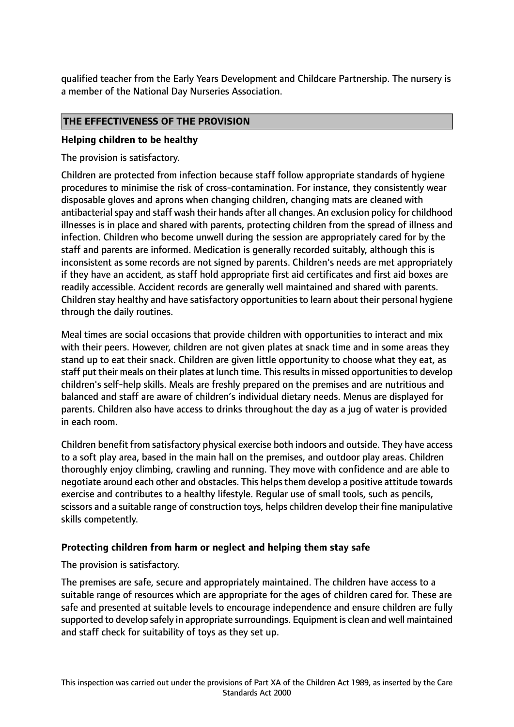qualified teacher from the Early Years Development and Childcare Partnership. The nursery is a member of the National Day Nurseries Association.

#### **THE EFFECTIVENESS OF THE PROVISION**

#### **Helping children to be healthy**

The provision is satisfactory.

Children are protected from infection because staff follow appropriate standards of hygiene procedures to minimise the risk of cross-contamination. For instance, they consistently wear disposable gloves and aprons when changing children, changing mats are cleaned with antibacterial spay and staff wash their hands after all changes. An exclusion policy for childhood illnesses is in place and shared with parents, protecting children from the spread of illness and infection. Children who become unwell during the session are appropriately cared for by the staff and parents are informed. Medication is generally recorded suitably, although this is inconsistent as some records are not signed by parents. Children's needs are met appropriately if they have an accident, as staff hold appropriate first aid certificates and first aid boxes are readily accessible. Accident records are generally well maintained and shared with parents. Children stay healthy and have satisfactory opportunities to learn about their personal hygiene through the daily routines.

Meal times are social occasions that provide children with opportunities to interact and mix with their peers. However, children are not given plates at snack time and in some areas they stand up to eat their snack. Children are given little opportunity to choose what they eat, as staff put their meals on their plates at lunch time. This results in missed opportunities to develop children's self-help skills. Meals are freshly prepared on the premises and are nutritious and balanced and staff are aware of children's individual dietary needs. Menus are displayed for parents. Children also have access to drinks throughout the day as a jug of water is provided in each room.

Children benefit from satisfactory physical exercise both indoors and outside. They have access to a soft play area, based in the main hall on the premises, and outdoor play areas. Children thoroughly enjoy climbing, crawling and running. They move with confidence and are able to negotiate around each other and obstacles. This helps them develop a positive attitude towards exercise and contributes to a healthy lifestyle. Regular use of small tools, such as pencils, scissors and a suitable range of construction toys, helps children develop their fine manipulative skills competently.

#### **Protecting children from harm or neglect and helping them stay safe**

The provision is satisfactory.

The premises are safe, secure and appropriately maintained. The children have access to a suitable range of resources which are appropriate for the ages of children cared for. These are safe and presented at suitable levels to encourage independence and ensure children are fully supported to develop safely in appropriate surroundings. Equipment is clean and well maintained and staff check for suitability of toys as they set up.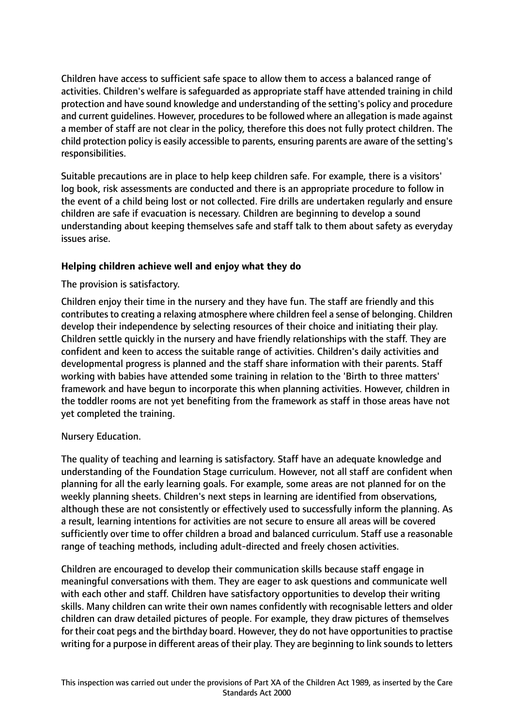Children have access to sufficient safe space to allow them to access a balanced range of activities. Children's welfare is safeguarded as appropriate staff have attended training in child protection and have sound knowledge and understanding of the setting's policy and procedure and current guidelines. However, procedures to be followed where an allegation is made against a member of staff are not clear in the policy, therefore this does not fully protect children. The child protection policy is easily accessible to parents, ensuring parents are aware of the setting's responsibilities.

Suitable precautions are in place to help keep children safe. For example, there is a visitors' log book, risk assessments are conducted and there is an appropriate procedure to follow in the event of a child being lost or not collected. Fire drills are undertaken regularly and ensure children are safe if evacuation is necessary. Children are beginning to develop a sound understanding about keeping themselves safe and staff talk to them about safety as everyday issues arise.

# **Helping children achieve well and enjoy what they do**

The provision is satisfactory.

Children enjoy their time in the nursery and they have fun. The staff are friendly and this contributes to creating a relaxing atmosphere where children feel a sense of belonging. Children develop their independence by selecting resources of their choice and initiating their play. Children settle quickly in the nursery and have friendly relationships with the staff. They are confident and keen to access the suitable range of activities. Children's daily activities and developmental progress is planned and the staff share information with their parents. Staff working with babies have attended some training in relation to the 'Birth to three matters' framework and have begun to incorporate this when planning activities. However, children in the toddler rooms are not yet benefiting from the framework as staff in those areas have not yet completed the training.

## Nursery Education.

The quality of teaching and learning is satisfactory. Staff have an adequate knowledge and understanding of the Foundation Stage curriculum. However, not all staff are confident when planning for all the early learning goals. For example, some areas are not planned for on the weekly planning sheets. Children's next steps in learning are identified from observations, although these are not consistently or effectively used to successfully inform the planning. As a result, learning intentions for activities are not secure to ensure all areas will be covered sufficiently over time to offer children a broad and balanced curriculum. Staff use a reasonable range of teaching methods, including adult-directed and freely chosen activities.

Children are encouraged to develop their communication skills because staff engage in meaningful conversations with them. They are eager to ask questions and communicate well with each other and staff. Children have satisfactory opportunities to develop their writing skills. Many children can write their own names confidently with recognisable letters and older children can draw detailed pictures of people. For example, they draw pictures of themselves for their coat pegs and the birthday board. However, they do not have opportunities to practise writing for a purpose in different areas of their play. They are beginning to link sounds to letters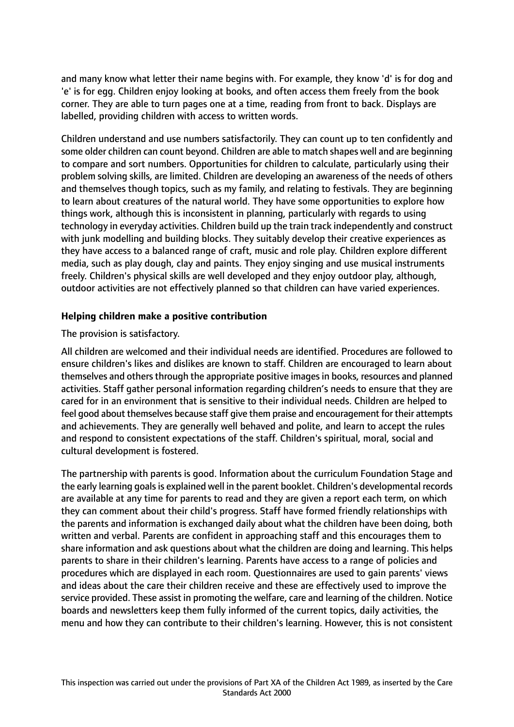and many know what letter their name begins with. For example, they know 'd' is for dog and 'e' is for egg. Children enjoy looking at books, and often access them freely from the book corner. They are able to turn pages one at a time, reading from front to back. Displays are labelled, providing children with access to written words.

Children understand and use numbers satisfactorily. They can count up to ten confidently and some older children can count beyond. Children are able to match shapes well and are beginning to compare and sort numbers. Opportunities for children to calculate, particularly using their problem solving skills, are limited. Children are developing an awareness of the needs of others and themselves though topics, such as my family, and relating to festivals. They are beginning to learn about creatures of the natural world. They have some opportunities to explore how things work, although this is inconsistent in planning, particularly with regards to using technology in everyday activities. Children build up the train track independently and construct with junk modelling and building blocks. They suitably develop their creative experiences as they have access to a balanced range of craft, music and role play. Children explore different media, such as play dough, clay and paints. They enjoy singing and use musical instruments freely. Children's physical skills are well developed and they enjoy outdoor play, although, outdoor activities are not effectively planned so that children can have varied experiences.

# **Helping children make a positive contribution**

## The provision is satisfactory.

All children are welcomed and their individual needs are identified. Procedures are followed to ensure children's likes and dislikes are known to staff. Children are encouraged to learn about themselves and others through the appropriate positive images in books, resources and planned activities. Staff gather personal information regarding children's needs to ensure that they are cared for in an environment that is sensitive to their individual needs. Children are helped to feel good about themselves because staff give them praise and encouragement for their attempts and achievements. They are generally well behaved and polite, and learn to accept the rules and respond to consistent expectations of the staff. Children's spiritual, moral, social and cultural development is fostered.

The partnership with parents is good. Information about the curriculum Foundation Stage and the early learning goals is explained well in the parent booklet. Children's developmental records are available at any time for parents to read and they are given a report each term, on which they can comment about their child's progress. Staff have formed friendly relationships with the parents and information is exchanged daily about what the children have been doing, both written and verbal. Parents are confident in approaching staff and this encourages them to share information and ask questions about what the children are doing and learning. This helps parents to share in their children's learning. Parents have access to a range of policies and procedures which are displayed in each room. Questionnaires are used to gain parents' views and ideas about the care their children receive and these are effectively used to improve the service provided. These assist in promoting the welfare, care and learning of the children. Notice boards and newsletters keep them fully informed of the current topics, daily activities, the menu and how they can contribute to their children's learning. However, this is not consistent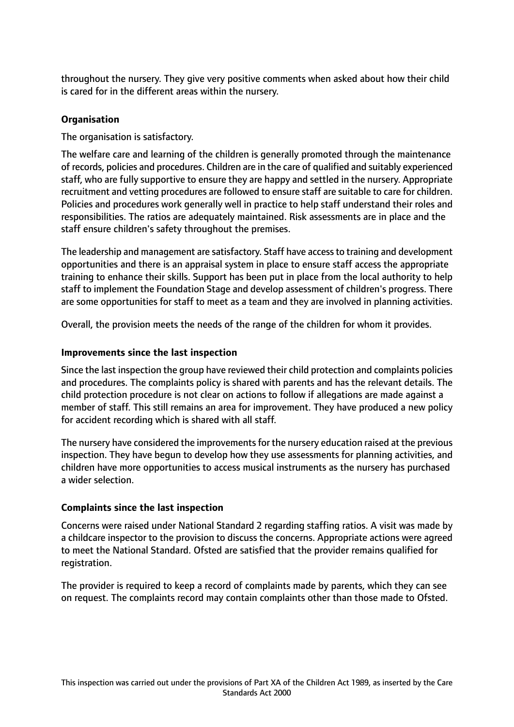throughout the nursery. They give very positive comments when asked about how their child is cared for in the different areas within the nursery.

# **Organisation**

The organisation is satisfactory.

The welfare care and learning of the children is generally promoted through the maintenance of records, policies and procedures. Children are in the care of qualified and suitably experienced staff, who are fully supportive to ensure they are happy and settled in the nursery. Appropriate recruitment and vetting procedures are followed to ensure staff are suitable to care for children. Policies and procedures work generally well in practice to help staff understand their roles and responsibilities. The ratios are adequately maintained. Risk assessments are in place and the staff ensure children's safety throughout the premises.

The leadership and management are satisfactory. Staff have accessto training and development opportunities and there is an appraisal system in place to ensure staff access the appropriate training to enhance their skills. Support has been put in place from the local authority to help staff to implement the Foundation Stage and develop assessment of children's progress. There are some opportunities for staff to meet as a team and they are involved in planning activities.

Overall, the provision meets the needs of the range of the children for whom it provides.

# **Improvements since the last inspection**

Since the last inspection the group have reviewed their child protection and complaints policies and procedures. The complaints policy is shared with parents and has the relevant details. The child protection procedure is not clear on actions to follow if allegations are made against a member of staff. This still remains an area for improvement. They have produced a new policy for accident recording which is shared with all staff.

The nursery have considered the improvements for the nursery education raised at the previous inspection. They have begun to develop how they use assessments for planning activities, and children have more opportunities to access musical instruments as the nursery has purchased a wider selection.

## **Complaints since the last inspection**

Concerns were raised under National Standard 2 regarding staffing ratios. A visit was made by a childcare inspector to the provision to discuss the concerns. Appropriate actions were agreed to meet the National Standard. Ofsted are satisfied that the provider remains qualified for registration.

The provider is required to keep a record of complaints made by parents, which they can see on request. The complaints record may contain complaints other than those made to Ofsted.